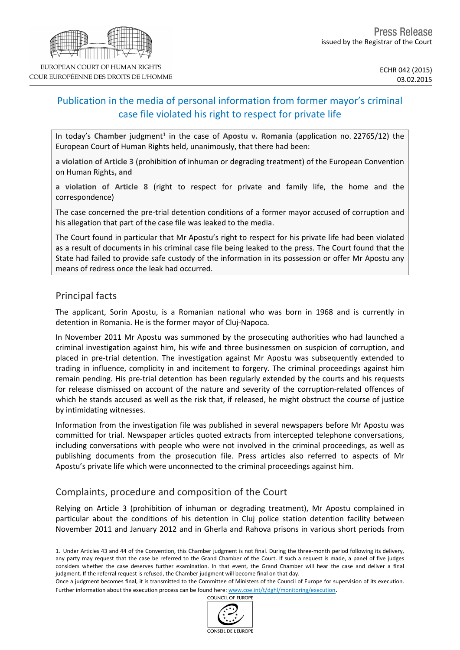# Publication in the media of personal information from former mayor's criminal case file violated his right to respect for private life

In today's Chamber judgment<sup>1</sup> in the case of Apostu v. Romania (application no. 22765/12) the European Court of Human Rights held, unanimously, that there had been:

**a violation of Article 3** (prohibition of inhuman or degrading treatment) of the European Convention on Human Rights**, and**

**a violation of Article 8** (right to respect for private and family life, the home and the correspondence)

The case concerned the pre-trial detention conditions of a former mayor accused of corruption and his allegation that part of the case file was leaked to the media.

The Court found in particular that Mr Apostu's right to respect for his private life had been violated as a result of documents in his criminal case file being leaked to the press. The Court found that the State had failed to provide safe custody of the information in its possession or offer Mr Apostu any means of redress once the leak had occurred.

### Principal facts

The applicant, Sorin Apostu, is a Romanian national who was born in 1968 and is currently in detention in Romania. He is the former mayor of Cluj-Napoca.

In November 2011 Mr Apostu was summoned by the prosecuting authorities who had launched a criminal investigation against him, his wife and three businessmen on suspicion of corruption, and placed in pre-trial detention. The investigation against Mr Apostu was subsequently extended to trading in influence, complicity in and incitement to forgery. The criminal proceedings against him remain pending. His pre-trial detention has been regularly extended by the courts and his requests for release dismissed on account of the nature and severity of the corruption-related offences of which he stands accused as well as the risk that, if released, he might obstruct the course of justice by intimidating witnesses.

Information from the investigation file was published in several newspapers before Mr Apostu was committed for trial. Newspaper articles quoted extracts from intercepted telephone conversations, including conversations with people who were not involved in the criminal proceedings, as well as publishing documents from the prosecution file. Press articles also referred to aspects of Mr Apostu's private life which were unconnected to the criminal proceedings against him.

## Complaints, procedure and composition of the Court

Relying on Article 3 (prohibition of inhuman or degrading treatment), Mr Apostu complained in particular about the conditions of his detention in Cluj police station detention facility between November 2011 and January 2012 and in Gherla and Rahova prisons in various short periods from

COUNCIL OF EUROPE



<sup>1.</sup> Under Articles 43 and 44 of the Convention, this Chamber judgment is not final. During the three-month period following its delivery, any party may request that the case be referred to the Grand Chamber of the Court. If such a request is made, a panel of five judges considers whether the case deserves further examination. In that event, the Grand Chamber will hear the case and deliver a final judgment. If the referral request is refused, the Chamber judgment will become final on that day.

Once a judgment becomes final, it is transmitted to the Committee of Ministers of the Council of Europe for supervision of its execution. Further information about the execution process can be found here: [www.coe.int/t/dghl/monitoring/execution](http://www.coe.int/t/dghl/monitoring/execution).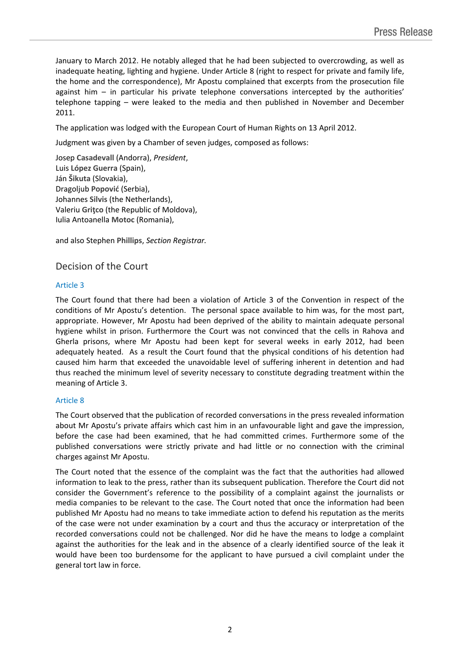January to March 2012. He notably alleged that he had been subjected to overcrowding, as well as inadequate heating, lighting and hygiene. Under Article 8 (right to respect for private and family life, the home and the correspondence), Mr Apostu complained that excerpts from the prosecution file against him – in particular his private telephone conversations intercepted by the authorities' telephone tapping – were leaked to the media and then published in November and December 2011.

The application was lodged with the European Court of Human Rights on 13 April 2012.

Judgment was given by a Chamber of seven judges, composed as follows:

Josep **Casadevall** (Andorra), *President*, Luis **López Guerra** (Spain), Ján **Šikuta** (Slovakia), Dragoljub **Popović** (Serbia), Johannes **Silvis** (the Netherlands), Valeriu **Griţco** (the Republic of Moldova), Iulia Antoanella **Motoc** (Romania),

and also Stephen **Phillips**, *Section Registrar.*

### Decision of the Court

#### Article 3

The Court found that there had been a violation of Article 3 of the Convention in respect of the conditions of Mr Apostu's detention. The personal space available to him was, for the most part, appropriate. However, Mr Apostu had been deprived of the ability to maintain adequate personal hygiene whilst in prison. Furthermore the Court was not convinced that the cells in Rahova and Gherla prisons, where Mr Apostu had been kept for several weeks in early 2012, had been adequately heated. As a result the Court found that the physical conditions of his detention had caused him harm that exceeded the unavoidable level of suffering inherent in detention and had thus reached the minimum level of severity necessary to constitute degrading treatment within the meaning of Article 3.

#### Article 8

The Court observed that the publication of recorded conversations in the press revealed information about Mr Apostu's private affairs which cast him in an unfavourable light and gave the impression, before the case had been examined, that he had committed crimes. Furthermore some of the published conversations were strictly private and had little or no connection with the criminal charges against Mr Apostu.

The Court noted that the essence of the complaint was the fact that the authorities had allowed information to leak to the press, rather than its subsequent publication. Therefore the Court did not consider the Government's reference to the possibility of a complaint against the journalists or media companies to be relevant to the case. The Court noted that once the information had been published Mr Apostu had no means to take immediate action to defend his reputation as the merits of the case were not under examination by a court and thus the accuracy or interpretation of the recorded conversations could not be challenged. Nor did he have the means to lodge a complaint against the authorities for the leak and in the absence of a clearly identified source of the leak it would have been too burdensome for the applicant to have pursued a civil complaint under the general tort law in force.